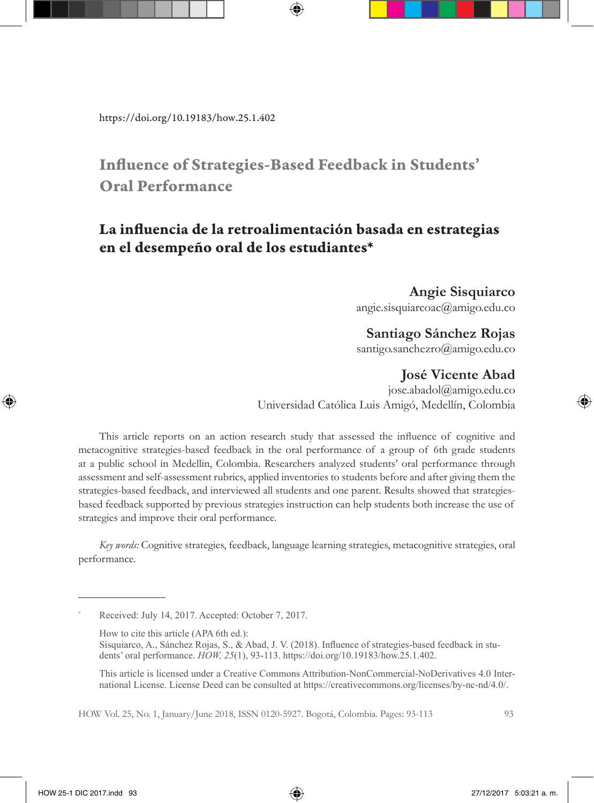# Influence of Strategies-Based Feedback in Students' Oral Performance

# La influencia de la retroalimentación basada en estrategias en el desempeño oral de los estudiantes\*

**Angie Sisquiarco** angie.sisquiarcoac@amigo.edu.co

## **Santiago Sánchez Rojas**

santigo.sanchezro@amigo.edu.co

## **José Vicente Abad**

jose.abadol@amigo.edu.co Universidad Católica Luis Amigó, Medellín, Colombia

This article reports on an action research study that assessed the influence of cognitive and metacognitive strategies-based feedback in the oral performance of a group of 6th grade students at a public school in Medellin, Colombia. Researchers analyzed students' oral performance through assessment and self-assessment rubrics, applied inventories to students before and after giving them the strategies-based feedback, and interviewed all students and one parent. Results showed that strategiesbased feedback supported by previous strategies instruction can help students both increase the use of strategies and improve their oral performance.

*Key words:* Cognitive strategies, feedback, language learning strategies, metacognitive strategies, oral performance.

This article is licensed under a Creative Commons Attribution-NonCommercial-NoDerivatives 4.0 International License. License Deed can be consulted at https://creativecommons.org/licenses/by-nc-nd/4.0/.

Received: July 14, 2017. Accepted: October 7, 2017.

How to cite this article (APA 6th ed.):

Sisquiarco, A., Sánchez Rojas, S., & Abad, J. V. (2018). Influence of strategies-based feedback in students' oral performance. *HOW, 25*(1), 93-113. https://doi.org/10.19183/how.25.1.402.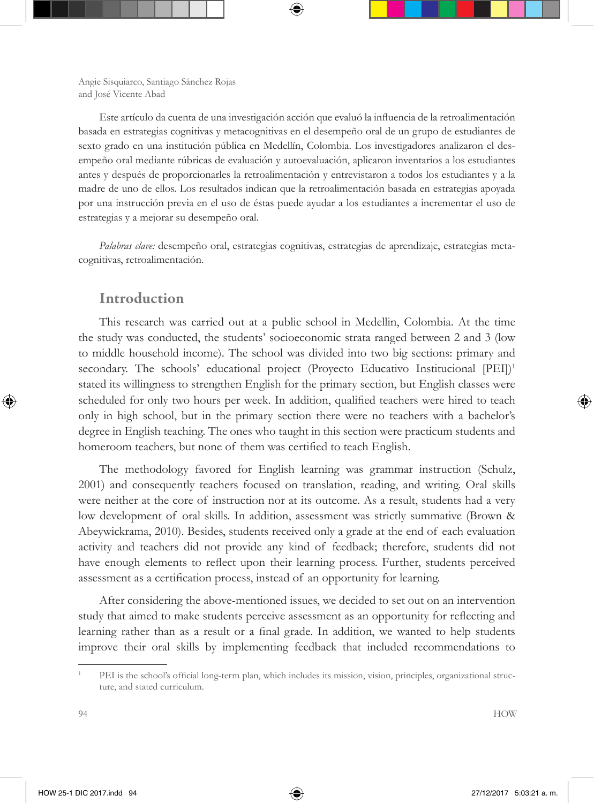Este artículo da cuenta de una investigación acción que evaluó la influencia de la retroalimentación basada en estrategias cognitivas y metacognitivas en el desempeño oral de un grupo de estudiantes de sexto grado en una institución pública en Medellín, Colombia. Los investigadores analizaron el desempeño oral mediante rúbricas de evaluación y autoevaluación, aplicaron inventarios a los estudiantes antes y después de proporcionarles la retroalimentación y entrevistaron a todos los estudiantes y a la madre de uno de ellos. Los resultados indican que la retroalimentación basada en estrategias apoyada por una instrucción previa en el uso de éstas puede ayudar a los estudiantes a incrementar el uso de estrategias y a mejorar su desempeño oral.

*Palabras clave:* desempeño oral, estrategias cognitivas, estrategias de aprendizaje, estrategias metacognitivas, retroalimentación.

#### Introduction

This research was carried out at a public school in Medellin, Colombia. At the time the study was conducted, the students' socioeconomic strata ranged between 2 and 3 (low to middle household income). The school was divided into two big sections: primary and secondary. The schools' educational project (Proyecto Educativo Institucional [PEI]<sup>1</sup> stated its willingness to strengthen English for the primary section, but English classes were scheduled for only two hours per week. In addition, qualified teachers were hired to teach only in high school, but in the primary section there were no teachers with a bachelor's degree in English teaching. The ones who taught in this section were practicum students and homeroom teachers, but none of them was certified to teach English.

The methodology favored for English learning was grammar instruction (Schulz, 2001) and consequently teachers focused on translation, reading, and writing. Oral skills were neither at the core of instruction nor at its outcome. As a result, students had a very low development of oral skills. In addition, assessment was strictly summative (Brown & Abeywickrama, 2010). Besides, students received only a grade at the end of each evaluation activity and teachers did not provide any kind of feedback; therefore, students did not have enough elements to reflect upon their learning process. Further, students perceived assessment as a certification process, instead of an opportunity for learning.

After considering the above-mentioned issues, we decided to set out on an intervention study that aimed to make students perceive assessment as an opportunity for reflecting and learning rather than as a result or a final grade. In addition, we wanted to help students improve their oral skills by implementing feedback that included recommendations to

<sup>1</sup> PEI is the school's official long-term plan, which includes its mission, vision, principles, organizational structure, and stated curriculum.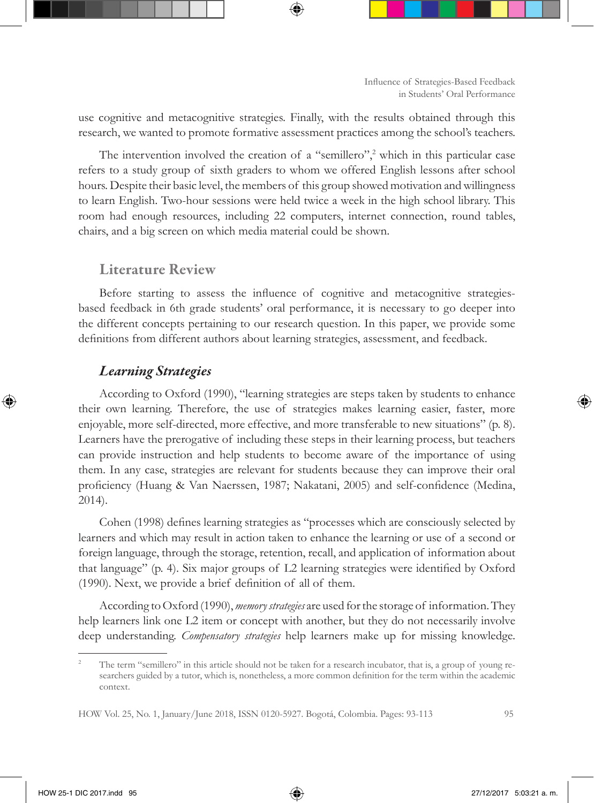use cognitive and metacognitive strategies. Finally, with the results obtained through this research, we wanted to promote formative assessment practices among the school's teachers.

The intervention involved the creation of a "semillero",<sup>2</sup> which in this particular case refers to a study group of sixth graders to whom we offered English lessons after school hours. Despite their basic level, the members of this group showed motivation and willingness to learn English. Two-hour sessions were held twice a week in the high school library. This room had enough resources, including 22 computers, internet connection, round tables, chairs, and a big screen on which media material could be shown.

#### Literature Review

Before starting to assess the influence of cognitive and metacognitive strategiesbased feedback in 6th grade students' oral performance, it is necessary to go deeper into the different concepts pertaining to our research question. In this paper, we provide some definitions from different authors about learning strategies, assessment, and feedback.

## *Learning Strategies*

According to Oxford (1990), "learning strategies are steps taken by students to enhance their own learning. Therefore, the use of strategies makes learning easier, faster, more enjoyable, more self-directed, more effective, and more transferable to new situations" (p. 8). Learners have the prerogative of including these steps in their learning process, but teachers can provide instruction and help students to become aware of the importance of using them. In any case, strategies are relevant for students because they can improve their oral proficiency (Huang & Van Naerssen, 1987; Nakatani, 2005) and self-confidence (Medina, 2014).

Cohen (1998) defines learning strategies as "processes which are consciously selected by learners and which may result in action taken to enhance the learning or use of a second or foreign language, through the storage, retention, recall, and application of information about that language" (p. 4). Six major groups of L2 learning strategies were identified by Oxford (1990). Next, we provide a brief definition of all of them.

According to Oxford (1990), *memory strategies* are used for the storage of information. They help learners link one L2 item or concept with another, but they do not necessarily involve deep understanding. *Compensatory strategies* help learners make up for missing knowledge.

<sup>&</sup>lt;sup>2</sup> The term "semillero" in this article should not be taken for a research incubator, that is, a group of young researchers guided by a tutor, which is, nonetheless, a more common definition for the term within the academic context.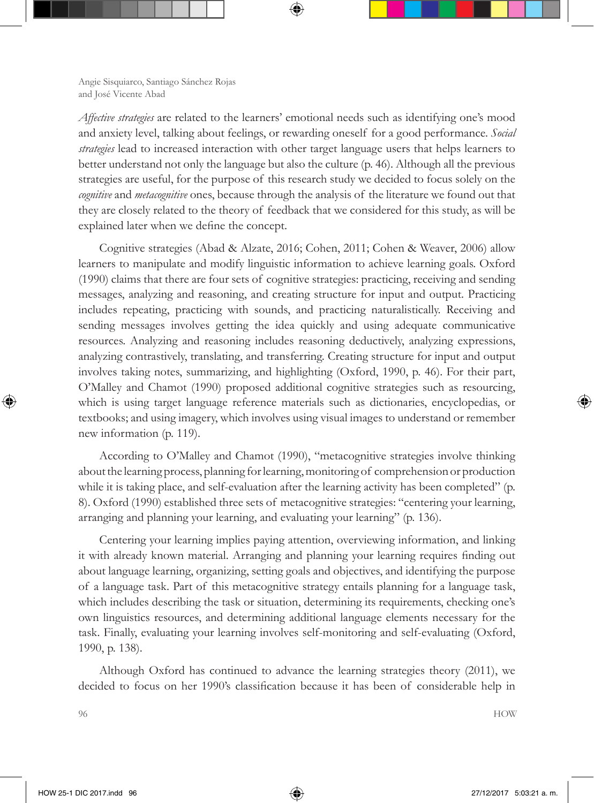*Affective strategies* are related to the learners' emotional needs such as identifying one's mood and anxiety level, talking about feelings, or rewarding oneself for a good performance. *Social strategies* lead to increased interaction with other target language users that helps learners to better understand not only the language but also the culture (p. 46). Although all the previous strategies are useful, for the purpose of this research study we decided to focus solely on the *cognitive* and *metacognitive* ones, because through the analysis of the literature we found out that they are closely related to the theory of feedback that we considered for this study, as will be explained later when we define the concept.

Cognitive strategies (Abad & Alzate, 2016; Cohen, 2011; Cohen & Weaver, 2006) allow learners to manipulate and modify linguistic information to achieve learning goals. Oxford (1990) claims that there are four sets of cognitive strategies: practicing, receiving and sending messages, analyzing and reasoning, and creating structure for input and output. Practicing includes repeating, practicing with sounds, and practicing naturalistically. Receiving and sending messages involves getting the idea quickly and using adequate communicative resources. Analyzing and reasoning includes reasoning deductively, analyzing expressions, analyzing contrastively, translating, and transferring. Creating structure for input and output involves taking notes, summarizing, and highlighting (Oxford, 1990, p. 46). For their part, O'Malley and Chamot (1990) proposed additional cognitive strategies such as resourcing, which is using target language reference materials such as dictionaries, encyclopedias, or textbooks; and using imagery, which involves using visual images to understand or remember new information (p. 119).

According to O'Malley and Chamot (1990), "metacognitive strategies involve thinking about the learning process, planning for learning, monitoring of comprehension or production while it is taking place, and self-evaluation after the learning activity has been completed" (p. 8). Oxford (1990) established three sets of metacognitive strategies: "centering your learning, arranging and planning your learning, and evaluating your learning" (p. 136).

Centering your learning implies paying attention, overviewing information, and linking it with already known material. Arranging and planning your learning requires finding out about language learning, organizing, setting goals and objectives, and identifying the purpose of a language task. Part of this metacognitive strategy entails planning for a language task, which includes describing the task or situation, determining its requirements, checking one's own linguistics resources, and determining additional language elements necessary for the task. Finally, evaluating your learning involves self-monitoring and self-evaluating (Oxford, 1990, p. 138).

Although Oxford has continued to advance the learning strategies theory (2011), we decided to focus on her 1990's classification because it has been of considerable help in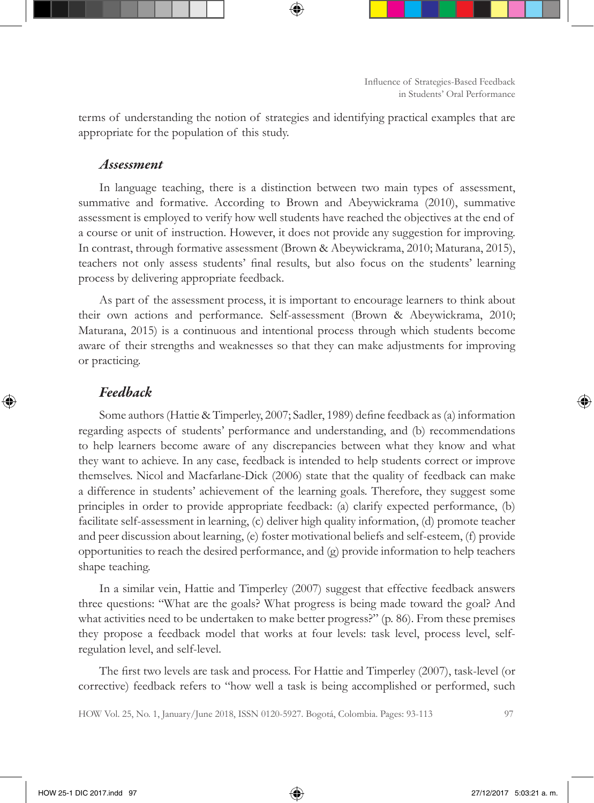terms of understanding the notion of strategies and identifying practical examples that are appropriate for the population of this study.

#### *Assessment*

In language teaching, there is a distinction between two main types of assessment, summative and formative. According to Brown and Abeywickrama (2010), summative assessment is employed to verify how well students have reached the objectives at the end of a course or unit of instruction. However, it does not provide any suggestion for improving. In contrast, through formative assessment (Brown & Abeywickrama, 2010; Maturana, 2015), teachers not only assess students' final results, but also focus on the students' learning process by delivering appropriate feedback.

As part of the assessment process, it is important to encourage learners to think about their own actions and performance. Self-assessment (Brown & Abeywickrama, 2010; Maturana, 2015) is a continuous and intentional process through which students become aware of their strengths and weaknesses so that they can make adjustments for improving or practicing.

## *Feedback*

Some authors (Hattie & Timperley, 2007; Sadler, 1989) define feedback as (a) information regarding aspects of students' performance and understanding, and (b) recommendations to help learners become aware of any discrepancies between what they know and what they want to achieve. In any case, feedback is intended to help students correct or improve themselves. Nicol and Macfarlane-Dick (2006) state that the quality of feedback can make a difference in students' achievement of the learning goals. Therefore, they suggest some principles in order to provide appropriate feedback: (a) clarify expected performance, (b) facilitate self-assessment in learning, (c) deliver high quality information, (d) promote teacher and peer discussion about learning, (e) foster motivational beliefs and self-esteem, (f) provide opportunities to reach the desired performance, and (g) provide information to help teachers shape teaching.

In a similar vein, Hattie and Timperley (2007) suggest that effective feedback answers three questions: "What are the goals? What progress is being made toward the goal? And what activities need to be undertaken to make better progress?" (p. 86). From these premises they propose a feedback model that works at four levels: task level, process level, selfregulation level, and self-level.

The first two levels are task and process. For Hattie and Timperley (2007), task-level (or corrective) feedback refers to "how well a task is being accomplished or performed, such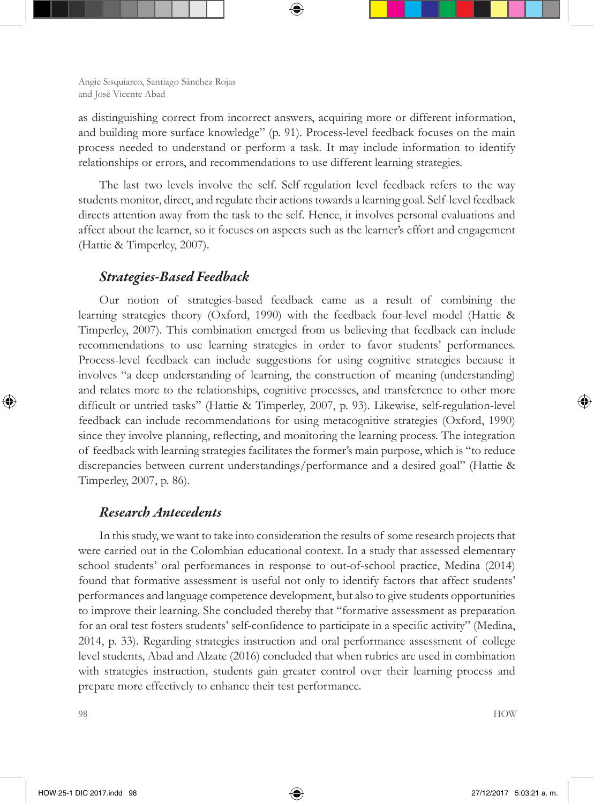as distinguishing correct from incorrect answers, acquiring more or different information, and building more surface knowledge" (p. 91). Process-level feedback focuses on the main process needed to understand or perform a task. It may include information to identify relationships or errors, and recommendations to use different learning strategies.

The last two levels involve the self. Self-regulation level feedback refers to the way students monitor, direct, and regulate their actions towards a learning goal. Self-level feedback directs attention away from the task to the self. Hence, it involves personal evaluations and affect about the learner, so it focuses on aspects such as the learner's effort and engagement (Hattie & Timperley, 2007).

## *Strategies-Based Feedback*

Our notion of strategies-based feedback came as a result of combining the learning strategies theory (Oxford, 1990) with the feedback four-level model (Hattie & Timperley, 2007). This combination emerged from us believing that feedback can include recommendations to use learning strategies in order to favor students' performances. Process-level feedback can include suggestions for using cognitive strategies because it involves "a deep understanding of learning, the construction of meaning (understanding) and relates more to the relationships, cognitive processes, and transference to other more difficult or untried tasks" (Hattie & Timperley, 2007, p. 93). Likewise, self-regulation-level feedback can include recommendations for using metacognitive strategies (Oxford, 1990) since they involve planning, reflecting, and monitoring the learning process. The integration of feedback with learning strategies facilitates the former's main purpose, which is "to reduce discrepancies between current understandings/performance and a desired goal" (Hattie & Timperley, 2007, p. 86).

## *Research Antecedents*

In this study, we want to take into consideration the results of some research projects that were carried out in the Colombian educational context. In a study that assessed elementary school students' oral performances in response to out-of-school practice, Medina (2014) found that formative assessment is useful not only to identify factors that affect students' performances and language competence development, but also to give students opportunities to improve their learning. She concluded thereby that "formative assessment as preparation for an oral test fosters students' self-confidence to participate in a specific activity" (Medina, 2014, p. 33). Regarding strategies instruction and oral performance assessment of college level students, Abad and Alzate (2016) concluded that when rubrics are used in combination with strategies instruction, students gain greater control over their learning process and prepare more effectively to enhance their test performance.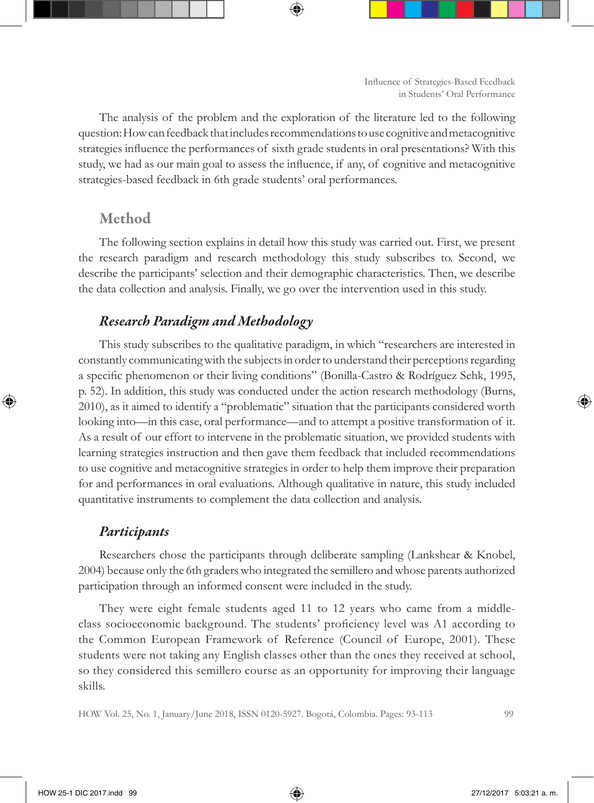The analysis of the problem and the exploration of the literature led to the following question: How can feedback that includes recommendations to use cognitive and metacognitive strategies influence the performances of sixth grade students in oral presentations? With this study, we had as our main goal to assess the influence, if any, of cognitive and metacognitive strategies-based feedback in 6th grade students' oral performances.

## Method

The following section explains in detail how this study was carried out. First, we present the research paradigm and research methodology this study subscribes to. Second, we describe the participants' selection and their demographic characteristics. Then, we describe the data collection and analysis. Finally, we go over the intervention used in this study.

## *Research Paradigm and Methodology*

This study subscribes to the qualitative paradigm, in which "researchers are interested in constantly communicating with the subjects in order to understand their perceptions regarding a specific phenomenon or their living conditions" (Bonilla-Castro & Rodríguez Sehk, 1995, p. 52). In addition, this study was conducted under the action research methodology (Burns, 2010), as it aimed to identify a "problematic" situation that the participants considered worth looking into—in this case, oral performance—and to attempt a positive transformation of it. As a result of our effort to intervene in the problematic situation, we provided students with learning strategies instruction and then gave them feedback that included recommendations to use cognitive and metacognitive strategies in order to help them improve their preparation for and performances in oral evaluations. Although qualitative in nature, this study included quantitative instruments to complement the data collection and analysis.

#### *Participants*

Researchers chose the participants through deliberate sampling (Lankshear & Knobel, 2004) because only the 6th graders who integrated the semillero and whose parents authorized participation through an informed consent were included in the study.

They were eight female students aged 11 to 12 years who came from a middleclass socioeconomic background. The students' proficiency level was A1 according to the Common European Framework of Reference (Council of Europe, 2001). These students were not taking any English classes other than the ones they received at school, so they considered this semillero course as an opportunity for improving their language skills.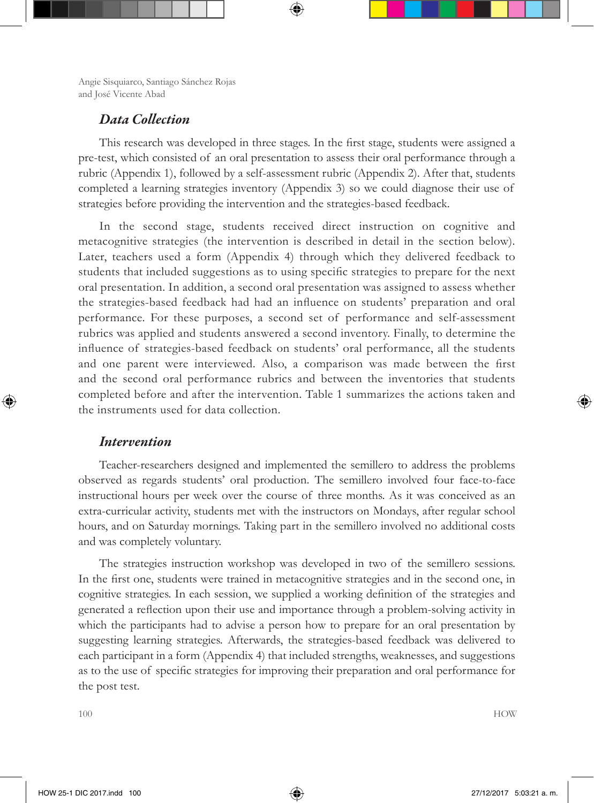#### *Data Collection*

This research was developed in three stages. In the first stage, students were assigned a pre-test, which consisted of an oral presentation to assess their oral performance through a rubric (Appendix 1), followed by a self-assessment rubric (Appendix 2). After that, students completed a learning strategies inventory (Appendix 3) so we could diagnose their use of strategies before providing the intervention and the strategies-based feedback.

In the second stage, students received direct instruction on cognitive and metacognitive strategies (the intervention is described in detail in the section below). Later, teachers used a form (Appendix 4) through which they delivered feedback to students that included suggestions as to using specific strategies to prepare for the next oral presentation. In addition, a second oral presentation was assigned to assess whether the strategies-based feedback had had an influence on students' preparation and oral performance. For these purposes, a second set of performance and self-assessment rubrics was applied and students answered a second inventory. Finally, to determine the influence of strategies-based feedback on students' oral performance, all the students and one parent were interviewed. Also, a comparison was made between the first and the second oral performance rubrics and between the inventories that students completed before and after the intervention. Table 1 summarizes the actions taken and the instruments used for data collection.

#### *Intervention*

Teacher-researchers designed and implemented the semillero to address the problems observed as regards students' oral production. The semillero involved four face-to-face instructional hours per week over the course of three months. As it was conceived as an extra-curricular activity, students met with the instructors on Mondays, after regular school hours, and on Saturday mornings. Taking part in the semillero involved no additional costs and was completely voluntary.

The strategies instruction workshop was developed in two of the semillero sessions. In the first one, students were trained in metacognitive strategies and in the second one, in cognitive strategies. In each session, we supplied a working definition of the strategies and generated a reflection upon their use and importance through a problem-solving activity in which the participants had to advise a person how to prepare for an oral presentation by suggesting learning strategies. Afterwards, the strategies-based feedback was delivered to each participant in a form (Appendix 4) that included strengths, weaknesses, and suggestions as to the use of specific strategies for improving their preparation and oral performance for the post test.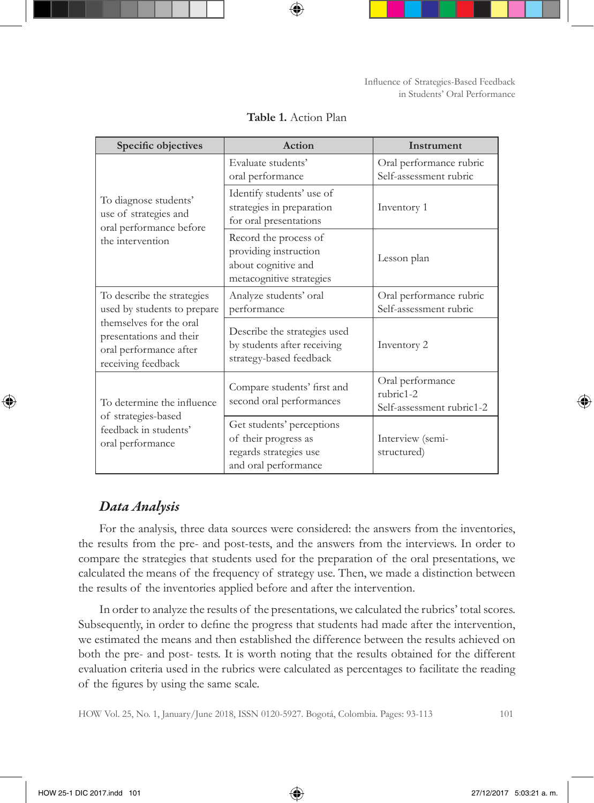| Specific objectives                                                                                                                                             | Action                                                                                              | Instrument                                                 |
|-----------------------------------------------------------------------------------------------------------------------------------------------------------------|-----------------------------------------------------------------------------------------------------|------------------------------------------------------------|
| To diagnose students'<br>use of strategies and<br>oral performance before<br>the intervention                                                                   | Evaluate students'<br>oral performance                                                              | Oral performance rubric<br>Self-assessment rubric          |
|                                                                                                                                                                 | Identify students' use of<br>strategies in preparation<br>for oral presentations                    | Inventory 1                                                |
|                                                                                                                                                                 | Record the process of<br>providing instruction<br>about cognitive and<br>metacognitive strategies   | Lesson plan                                                |
| To describe the strategies<br>used by students to prepare<br>themselves for the oral<br>presentations and their<br>oral performance after<br>receiving feedback | Analyze students' oral<br>performance                                                               | Oral performance rubric<br>Self-assessment rubric          |
|                                                                                                                                                                 | Describe the strategies used<br>by students after receiving<br>strategy-based feedback              | Inventory 2                                                |
| To determine the influence<br>of strategies-based<br>feedback in students'<br>oral performance                                                                  | Compare students' first and<br>second oral performances                                             | Oral performance<br>rubric1-2<br>Self-assessment rubric1-2 |
|                                                                                                                                                                 | Get students' perceptions<br>of their progress as<br>regards strategies use<br>and oral performance | Interview (semi-<br>structured)                            |

**Table 1.** Action Plan

# *Data Analysis*

For the analysis, three data sources were considered: the answers from the inventories, the results from the pre- and post-tests, and the answers from the interviews. In order to compare the strategies that students used for the preparation of the oral presentations, we calculated the means of the frequency of strategy use. Then, we made a distinction between the results of the inventories applied before and after the intervention.

In order to analyze the results of the presentations, we calculated the rubrics' total scores. Subsequently, in order to define the progress that students had made after the intervention, we estimated the means and then established the difference between the results achieved on both the pre- and post- tests. It is worth noting that the results obtained for the different evaluation criteria used in the rubrics were calculated as percentages to facilitate the reading of the figures by using the same scale.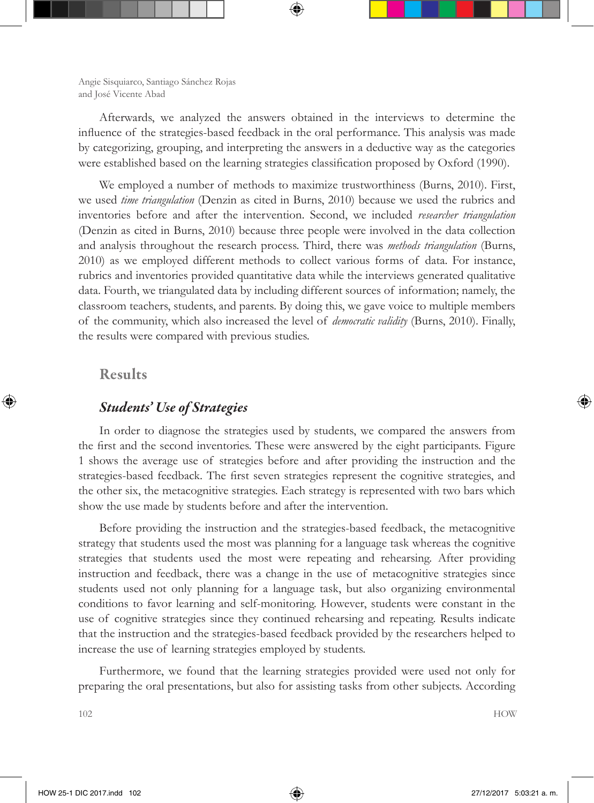Afterwards, we analyzed the answers obtained in the interviews to determine the influence of the strategies-based feedback in the oral performance. This analysis was made by categorizing, grouping, and interpreting the answers in a deductive way as the categories were established based on the learning strategies classification proposed by Oxford (1990).

We employed a number of methods to maximize trustworthiness (Burns, 2010). First, we used *time triangulation* (Denzin as cited in Burns, 2010) because we used the rubrics and inventories before and after the intervention. Second, we included *researcher triangulation* (Denzin as cited in Burns, 2010) because three people were involved in the data collection and analysis throughout the research process. Third, there was *methods triangulation* (Burns, 2010) as we employed different methods to collect various forms of data. For instance, rubrics and inventories provided quantitative data while the interviews generated qualitative data. Fourth, we triangulated data by including different sources of information; namely, the classroom teachers, students, and parents. By doing this, we gave voice to multiple members of the community, which also increased the level of *democratic validity* (Burns, 2010). Finally, the results were compared with previous studies.

## Results

## *Students' Use of Strategies*

In order to diagnose the strategies used by students, we compared the answers from the first and the second inventories. These were answered by the eight participants. Figure 1 shows the average use of strategies before and after providing the instruction and the strategies-based feedback. The first seven strategies represent the cognitive strategies, and the other six, the metacognitive strategies. Each strategy is represented with two bars which show the use made by students before and after the intervention.

Before providing the instruction and the strategies-based feedback, the metacognitive strategy that students used the most was planning for a language task whereas the cognitive strategies that students used the most were repeating and rehearsing. After providing instruction and feedback, there was a change in the use of metacognitive strategies since students used not only planning for a language task, but also organizing environmental conditions to favor learning and self-monitoring. However, students were constant in the use of cognitive strategies since they continued rehearsing and repeating. Results indicate that the instruction and the strategies-based feedback provided by the researchers helped to increase the use of learning strategies employed by students.

Furthermore, we found that the learning strategies provided were used not only for preparing the oral presentations, but also for assisting tasks from other subjects. According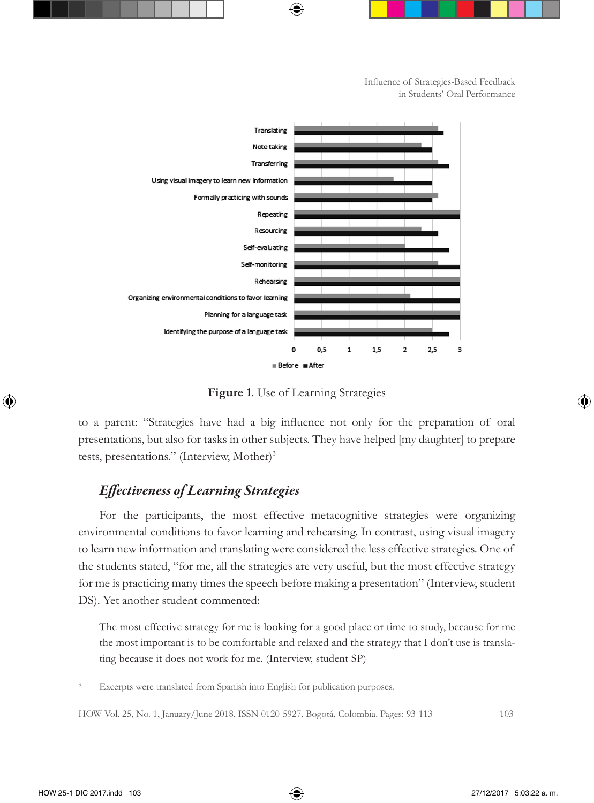Influence of Strategies-Based Feedback in Students' Oral Performance



**Figure 1**. Use of Learning Strategies

to a parent: "Strategies have had a big influence not only for the preparation of oral presentations, but also for tasks in other subjects. They have helped [my daughter] to prepare tests, presentations." (Interview, Mother)<sup>3</sup>

# *Effectiveness of Learning Strategies*

For the participants, the most effective metacognitive strategies were organizing environmental conditions to favor learning and rehearsing. In contrast, using visual imagery to learn new information and translating were considered the less effective strategies. One of the students stated, "for me, all the strategies are very useful, but the most effective strategy for me is practicing many times the speech before making a presentation" (Interview, student DS). Yet another student commented:

The most effective strategy for me is looking for a good place or time to study, because for me the most important is to be comfortable and relaxed and the strategy that I don't use is translating because it does not work for me. (Interview, student SP)

Excerpts were translated from Spanish into English for publication purposes.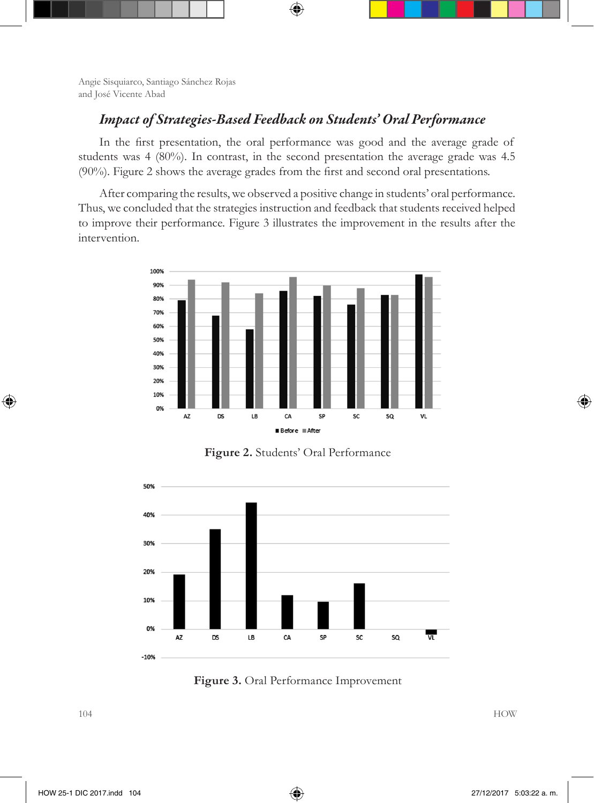## *Impact of Strategies-Based Feedback on Students' Oral Performance*

In the first presentation, the oral performance was good and the average grade of students was 4 (80%). In contrast, in the second presentation the average grade was 4.5 (90%). Figure 2 shows the average grades from the first and second oral presentations.

After comparing the results, we observed a positive change in students' oral performance. Thus, we concluded that the strategies instruction and feedback that students received helped to improve their performance. Figure 3 illustrates the improvement in the results after the intervention.



**Figure 2.** Students' Oral Performance



**Figure 3.** Oral Performance Improvement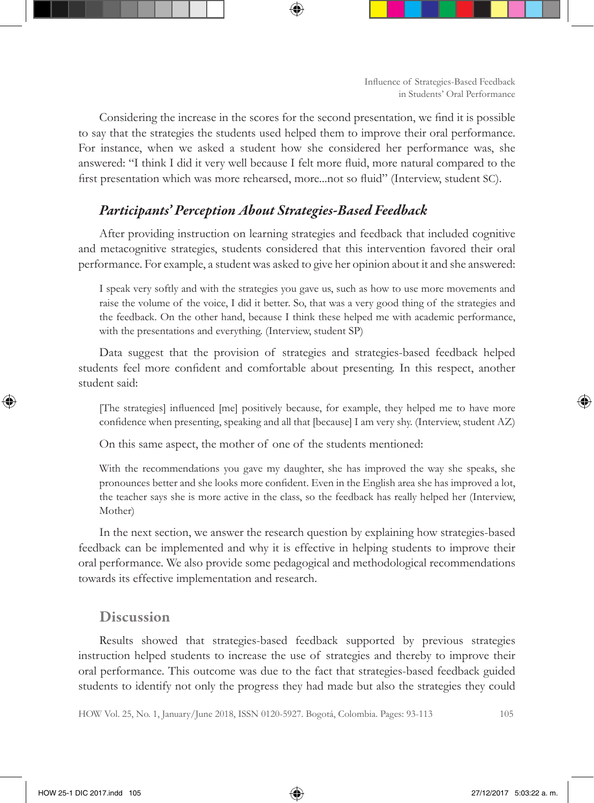Considering the increase in the scores for the second presentation, we find it is possible to say that the strategies the students used helped them to improve their oral performance. For instance, when we asked a student how she considered her performance was, she answered: "I think I did it very well because I felt more fluid, more natural compared to the first presentation which was more rehearsed, more...not so fluid" (Interview, student SC).

## *Participants' Perception About Strategies-Based Feedback*

After providing instruction on learning strategies and feedback that included cognitive and metacognitive strategies, students considered that this intervention favored their oral performance. For example, a student was asked to give her opinion about it and she answered:

I speak very softly and with the strategies you gave us, such as how to use more movements and raise the volume of the voice, I did it better. So, that was a very good thing of the strategies and the feedback. On the other hand, because I think these helped me with academic performance, with the presentations and everything. (Interview, student SP)

Data suggest that the provision of strategies and strategies-based feedback helped students feel more confident and comfortable about presenting. In this respect, another student said:

[The strategies] influenced [me] positively because, for example, they helped me to have more confidence when presenting, speaking and all that [because] I am very shy. (Interview, student AZ)

On this same aspect, the mother of one of the students mentioned:

With the recommendations you gave my daughter, she has improved the way she speaks, she pronounces better and she looks more confident. Even in the English area she has improved a lot, the teacher says she is more active in the class, so the feedback has really helped her (Interview, Mother)

In the next section, we answer the research question by explaining how strategies-based feedback can be implemented and why it is effective in helping students to improve their oral performance. We also provide some pedagogical and methodological recommendations towards its effective implementation and research.

#### Discussion

Results showed that strategies-based feedback supported by previous strategies instruction helped students to increase the use of strategies and thereby to improve their oral performance. This outcome was due to the fact that strategies-based feedback guided students to identify not only the progress they had made but also the strategies they could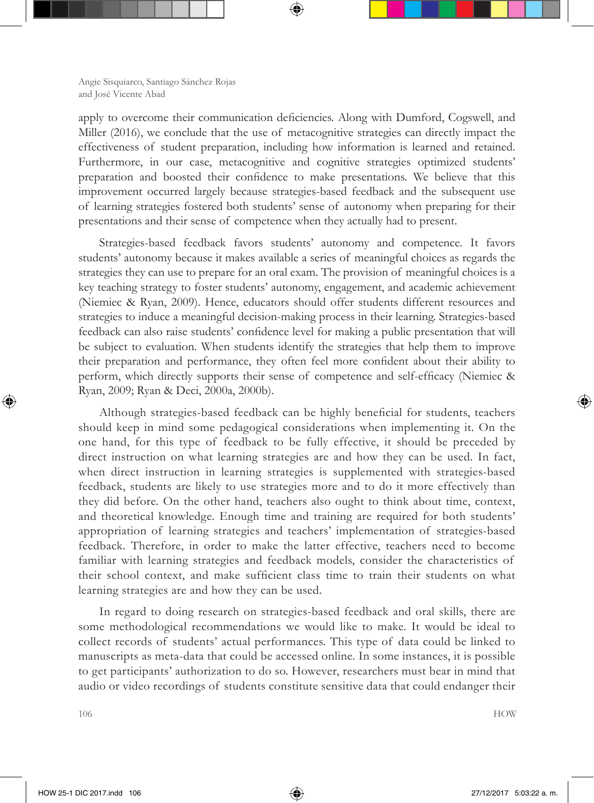apply to overcome their communication deficiencies. Along with Dumford, Cogswell, and Miller (2016), we conclude that the use of metacognitive strategies can directly impact the effectiveness of student preparation, including how information is learned and retained. Furthermore, in our case, metacognitive and cognitive strategies optimized students' preparation and boosted their confidence to make presentations. We believe that this improvement occurred largely because strategies-based feedback and the subsequent use of learning strategies fostered both students' sense of autonomy when preparing for their presentations and their sense of competence when they actually had to present.

Strategies-based feedback favors students' autonomy and competence. It favors students' autonomy because it makes available a series of meaningful choices as regards the strategies they can use to prepare for an oral exam. The provision of meaningful choices is a key teaching strategy to foster students' autonomy, engagement, and academic achievement (Niemiec & Ryan, 2009). Hence, educators should offer students different resources and strategies to induce a meaningful decision-making process in their learning. Strategies-based feedback can also raise students' confidence level for making a public presentation that will be subject to evaluation. When students identify the strategies that help them to improve their preparation and performance, they often feel more confident about their ability to perform, which directly supports their sense of competence and self-efficacy (Niemiec & Ryan, 2009; Ryan & Deci, 2000a, 2000b).

Although strategies-based feedback can be highly beneficial for students, teachers should keep in mind some pedagogical considerations when implementing it. On the one hand, for this type of feedback to be fully effective, it should be preceded by direct instruction on what learning strategies are and how they can be used. In fact, when direct instruction in learning strategies is supplemented with strategies-based feedback, students are likely to use strategies more and to do it more effectively than they did before. On the other hand, teachers also ought to think about time, context, and theoretical knowledge. Enough time and training are required for both students' appropriation of learning strategies and teachers' implementation of strategies-based feedback. Therefore, in order to make the latter effective, teachers need to become familiar with learning strategies and feedback models, consider the characteristics of their school context, and make sufficient class time to train their students on what learning strategies are and how they can be used.

In regard to doing research on strategies-based feedback and oral skills, there are some methodological recommendations we would like to make. It would be ideal to collect records of students' actual performances. This type of data could be linked to manuscripts as meta-data that could be accessed online. In some instances, it is possible to get participants' authorization to do so. However, researchers must bear in mind that audio or video recordings of students constitute sensitive data that could endanger their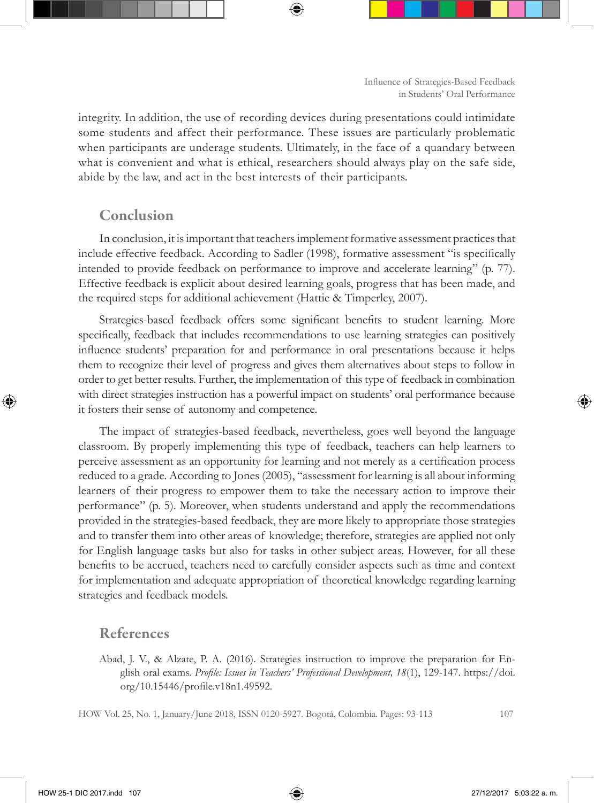integrity. In addition, the use of recording devices during presentations could intimidate some students and affect their performance. These issues are particularly problematic when participants are underage students. Ultimately, in the face of a quandary between what is convenient and what is ethical, researchers should always play on the safe side, abide by the law, and act in the best interests of their participants.

## Conclusion

In conclusion, it is important that teachers implement formative assessment practices that include effective feedback. According to Sadler (1998), formative assessment "is specifically intended to provide feedback on performance to improve and accelerate learning" (p. 77). Effective feedback is explicit about desired learning goals, progress that has been made, and the required steps for additional achievement (Hattie & Timperley, 2007).

Strategies-based feedback offers some significant benefits to student learning. More specifically, feedback that includes recommendations to use learning strategies can positively influence students' preparation for and performance in oral presentations because it helps them to recognize their level of progress and gives them alternatives about steps to follow in order to get better results. Further, the implementation of this type of feedback in combination with direct strategies instruction has a powerful impact on students' oral performance because it fosters their sense of autonomy and competence.

The impact of strategies-based feedback, nevertheless, goes well beyond the language classroom. By properly implementing this type of feedback, teachers can help learners to perceive assessment as an opportunity for learning and not merely as a certification process reduced to a grade. According to Jones (2005), "assessment for learning is all about informing learners of their progress to empower them to take the necessary action to improve their performance" (p. 5). Moreover, when students understand and apply the recommendations provided in the strategies-based feedback, they are more likely to appropriate those strategies and to transfer them into other areas of knowledge; therefore, strategies are applied not only for English language tasks but also for tasks in other subject areas. However, for all these benefits to be accrued, teachers need to carefully consider aspects such as time and context for implementation and adequate appropriation of theoretical knowledge regarding learning strategies and feedback models.

#### References

Abad, J. V., & Alzate, P. A. (2016). Strategies instruction to improve the preparation for English oral exams. *Profile: Issues in Teachers' Professional Development, 18*(1), 129-147. https://doi. org/10.15446/profile.v18n1.49592.

HOW Vol. 25, No. 1, January/June 2018, ISSN 0120-5927. Bogotá, Colombia. Pages: 93-113 107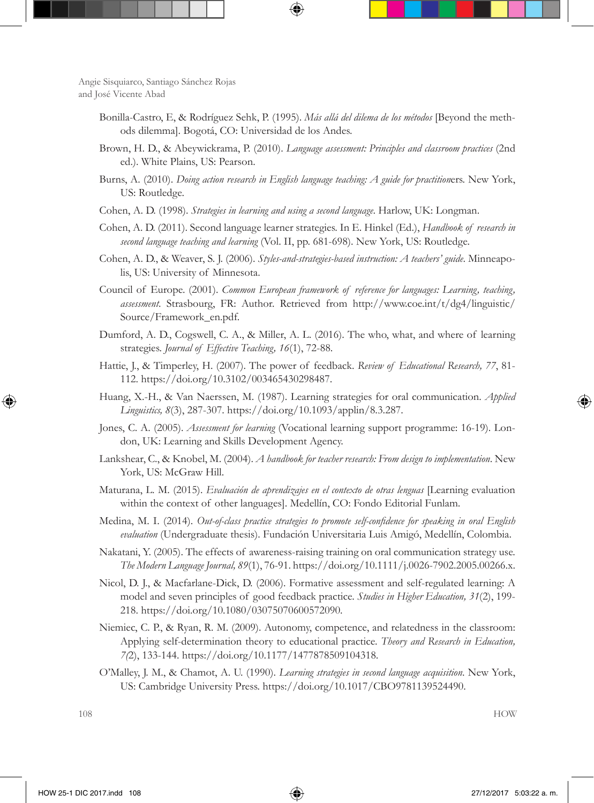- Bonilla-Castro, E, & Rodríguez Sehk, P. (1995). *Más allá del dilema de los métodos* [Beyond the methods dilemma]. Bogotá, CO: Universidad de los Andes.
- Brown, H. D., & Abeywickrama, P. (2010). *Language assessment: Principles and classroom practices* (2nd ed.). White Plains, US: Pearson.
- Burns, A. (2010). *Doing action research in English language teaching: A guide for practition*ers. New York, US: Routledge.
- Cohen, A. D. (1998). *Strategies in learning and using a second language*. Harlow, UK: Longman.
- Cohen, A. D. (2011). Second language learner strategies. In E. Hinkel (Ed.), *Handbook of research in second language teaching and learning* (Vol. II, pp. 681-698). New York, US: Routledge.
- Cohen, A. D., & Weaver, S. J. (2006). *Styles-and-strategies-based instruction: A teachers' guide*. Minneapolis, US: University of Minnesota.
- Council of Europe. (2001). *Common European framework of reference for languages: Learning, teaching, assessment*. Strasbourg, FR: Author. Retrieved from http://www.coe.int/t/dg4/linguistic/ Source/Framework\_en.pdf.
- Dumford, A. D., Cogswell, C. A., & Miller, A. L. (2016). The who, what, and where of learning strategies. *Journal of Effective Teaching, 16*(1), 72-88.
- Hattie, J., & Timperley, H. (2007). The power of feedback. *Review of Educational Research, 77*, 81- 112. https://doi.org/10.3102/003465430298487.
- Huang, X.-H., & Van Naerssen, M. (1987). Learning strategies for oral communication. *Applied Linguistics, 8*(3), 287-307. https://doi.org/10.1093/applin/8.3.287.
- Jones, C. A. (2005). *Assessment for learning* (Vocational learning support programme: 16-19). London, UK: Learning and Skills Development Agency.
- Lankshear, C., & Knobel, M. (2004). *A handbook for teacher research: From design to implementation*. New York, US: McGraw Hill.
- Maturana, L. M. (2015). *Evaluación de aprendizajes en el contexto de otras lenguas* [Learning evaluation within the context of other languages]. Medellín, CO: Fondo Editorial Funlam.
- Medina, M. I. (2014). *Out-of-class practice strategies to promote self-confidence for speaking in oral English evaluation* (Undergraduate thesis). Fundación Universitaria Luis Amigó, Medellín, Colombia.
- Nakatani, Y. (2005). The effects of awareness-raising training on oral communication strategy use. *The Modern Language Journal, 89*(1), 76-91. https://doi.org/10.1111/j.0026-7902.2005.00266.x.
- Nicol, D. J., & Macfarlane-Dick, D. (2006). Formative assessment and self-regulated learning: A model and seven principles of good feedback practice. *Studies in Higher Education, 31*(2), 199- 218. https://doi.org/10.1080/03075070600572090.
- Niemiec, C. P., & Ryan, R. M. (2009). Autonomy, competence, and relatedness in the classroom: Applying self-determination theory to educational practice. *Theory and Research in Education, 7(*2), 133-144. https://doi.org/10.1177/1477878509104318.
- O'Malley, J. M., & Chamot, A. U. (1990). *Learning strategies in second language acquisition*. New York, US: Cambridge University Press. https://doi.org/10.1017/CBO9781139524490.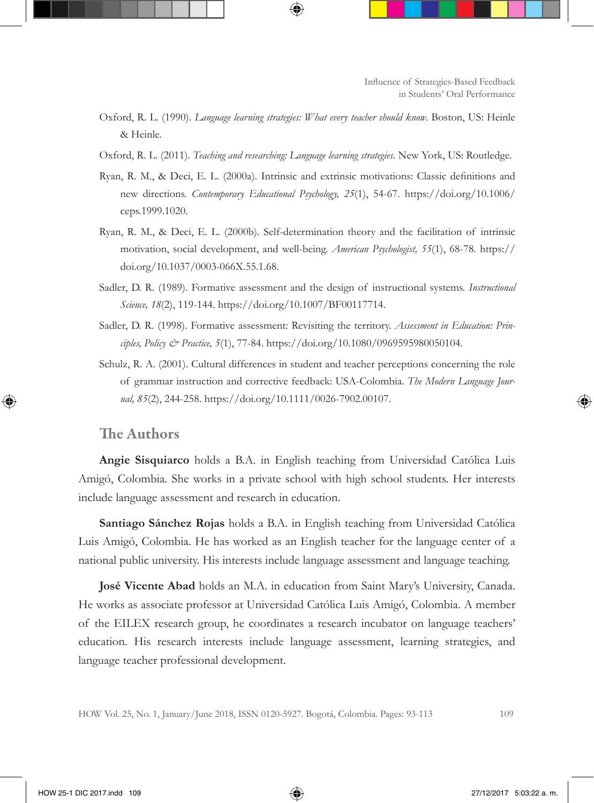- Oxford, R. L. (1990). *Language learning strategies: What every teacher should know*. Boston, US: Heinle & Heinle.
- Oxford, R. L. (2011). *Teaching and researching: Language learning strategies*. New York, US: Routledge.
- Ryan, R. M., & Deci, E. L. (2000a). Intrinsic and extrinsic motivations: Classic definitions and new directions. *Contemporary Educational Psychology, 25*(1), 54-67. https://doi.org/10.1006/ ceps.1999.1020.
- Ryan, R. M., & Deci, E. L. (2000b). Self-determination theory and the facilitation of intrinsic motivation, social development, and well-being. *American Psychologist, 55*(1), 68-78. https:// doi.org/10.1037/0003-066X.55.1.68.
- Sadler, D. R. (1989). Formative assessment and the design of instructional systems. *Instructional Science, 18*(2), 119-144. https://doi.org/10.1007/BF00117714.
- Sadler, D. R. (1998). Formative assessment: Revisiting the territory. *Assessment in Education: Principles, Policy & Practice, 5*(1), 77-84. https://doi.org/10.1080/0969595980050104.
- Schulz, R. A. (2001). Cultural differences in student and teacher perceptions concerning the role of grammar instruction and corrective feedback: USA-Colombia. *The Modern Language Journal, 85*(2), 244-258. https://doi.org/10.1111/0026-7902.00107.

## The Authors

**Angie Sisquiarco** holds a B.A. in English teaching from Universidad Católica Luis Amigó, Colombia. She works in a private school with high school students. Her interests include language assessment and research in education.

**Santiago Sánchez Rojas** holds a B.A. in English teaching from Universidad Católica Luis Amigó, Colombia. He has worked as an English teacher for the language center of a national public university. His interests include language assessment and language teaching.

**José Vicente Abad** holds an M.A. in education from Saint Mary's University, Canada. He works as associate professor at Universidad Católica Luis Amigó, Colombia. A member of the EILEX research group, he coordinates a research incubator on language teachers' education. His research interests include language assessment, learning strategies, and language teacher professional development.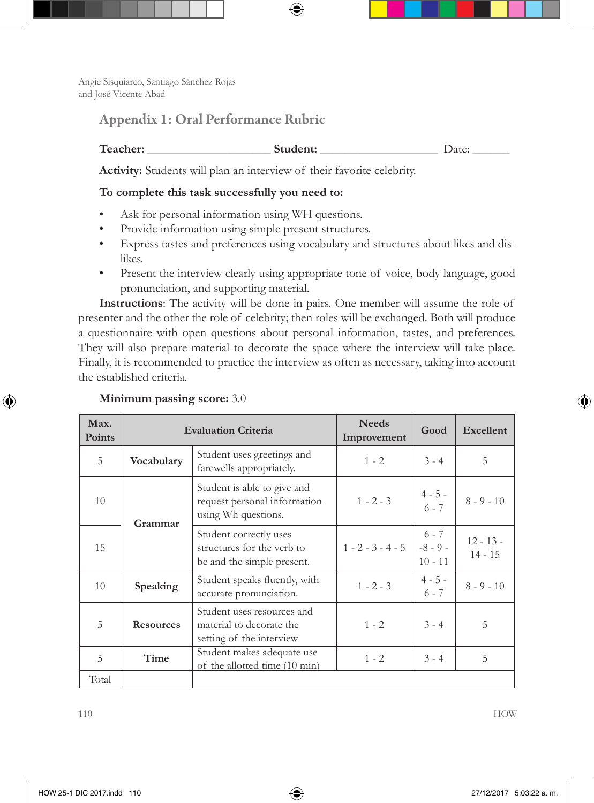# Appendix 1: Oral Performance Rubric

| Teacher: | Student: | $\lambda \sim +\infty$ |
|----------|----------|------------------------|
|          |          |                        |

**Activity:** Students will plan an interview of their favorite celebrity.

#### **To complete this task successfully you need to:**

- Ask for personal information using WH questions.
- Provide information using simple present structures.
- Express tastes and preferences using vocabulary and structures about likes and dislikes.
- Present the interview clearly using appropriate tone of voice, body language, good pronunciation, and supporting material.

**Instructions**: The activity will be done in pairs. One member will assume the role of presenter and the other the role of celebrity; then roles will be exchanged. Both will produce a questionnaire with open questions about personal information, tastes, and preferences. They will also prepare material to decorate the space where the interview will take place. Finally, it is recommended to practice the interview as often as necessary, taking into account the established criteria.

| Max.<br><b>Points</b> | <b>Evaluation Criteria</b> |                                                                                    | <b>Needs</b><br>Improvement | Good                               | <b>Excellent</b>         |
|-----------------------|----------------------------|------------------------------------------------------------------------------------|-----------------------------|------------------------------------|--------------------------|
| 5                     | Vocabulary                 | Student uses greetings and<br>farewells appropriately.                             | $1 - 2$                     | $3 - 4$                            | 5                        |
| 10                    | Grammar                    | Student is able to give and<br>request personal information<br>using Wh questions. | $1 - 2 - 3$                 | $4 - 5 -$<br>$6 - 7$               | $8 - 9 - 10$             |
| 15                    |                            | Student correctly uses<br>structures for the verb to<br>be and the simple present. | $1 - 2 - 3 - 4 - 5$         | $6 - 7$<br>$-8 - 9 -$<br>$10 - 11$ | $12 - 13 -$<br>$14 - 15$ |
| 10                    | Speaking                   | Student speaks fluently, with<br>accurate pronunciation.                           | $1 - 2 - 3$                 | $4 - 5 -$<br>$6 - 7$               | $8 - 9 - 10$             |
| 5                     | <b>Resources</b>           | Student uses resources and<br>material to decorate the<br>setting of the interview | $1 - 2$                     | $3 - 4$                            | 5                        |
| 5                     | Time                       | Student makes adequate use<br>of the allotted time (10 min)                        | $1 - 2$                     | $3 - 4$                            | 5                        |
| Total                 |                            |                                                                                    |                             |                                    |                          |

#### **Minimum passing score:** 3.0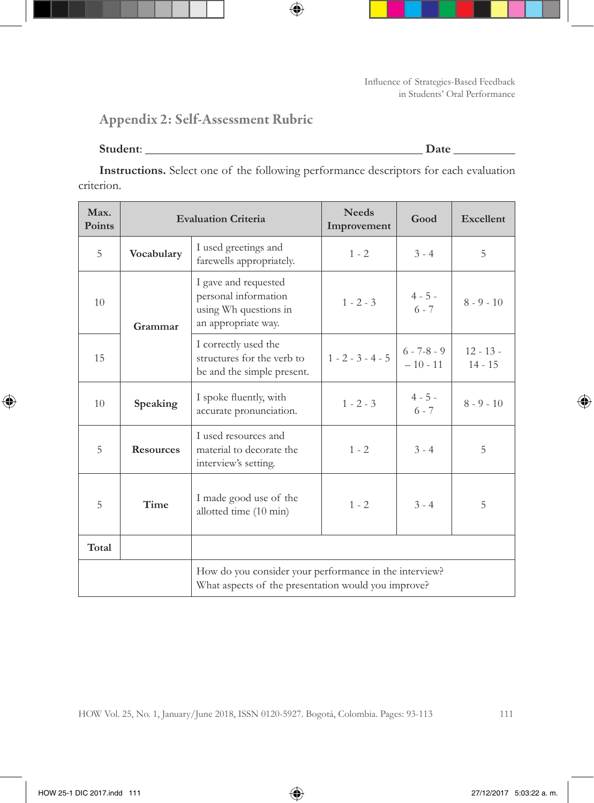Influence of Strategies-Based Feedback in Students' Oral Performance

# Appendix 2: Self-Assessment Rubric

**Student**: \_\_\_\_\_\_\_\_\_\_\_\_\_\_\_\_\_\_\_\_\_\_\_\_\_\_\_\_\_\_\_\_\_\_\_\_\_\_\_\_\_\_\_\_\_ **Date** \_\_\_\_\_\_\_\_\_\_

**Instructions.** Select one of the following performance descriptors for each evaluation criterion.

| Max.<br><b>Points</b>                                                                                         | <b>Evaluation Criteria</b> |                                                                                              | <b>Needs</b><br>Improvement | Good                          | <b>Excellent</b>         |
|---------------------------------------------------------------------------------------------------------------|----------------------------|----------------------------------------------------------------------------------------------|-----------------------------|-------------------------------|--------------------------|
| 5                                                                                                             | Vocabulary                 | I used greetings and<br>farewells appropriately.                                             | $1 - 2$                     | $3 - 4$                       | 5                        |
| 10 <sup>1</sup>                                                                                               | Grammar                    | I gave and requested<br>personal information<br>using Wh questions in<br>an appropriate way. | $1 - 2 - 3$                 | $4 - 5 -$<br>$6 - 7$          | $8 - 9 - 10$             |
| 15                                                                                                            |                            | I correctly used the<br>structures for the verb to<br>be and the simple present.             | $1 - 2 - 3 - 4 - 5$         | $6 - 7 - 8 - 9$<br>$-10 - 11$ | $12 - 13 -$<br>$14 - 15$ |
| 10                                                                                                            | Speaking                   | I spoke fluently, with<br>accurate pronunciation.                                            | $1 - 2 - 3$                 | $4 - 5 -$<br>$6 - 7$          | $8 - 9 - 10$             |
| 5                                                                                                             | <b>Resources</b>           | I used resources and<br>material to decorate the<br>interview's setting.                     | $1 - 2$                     | $3 - 4$                       | 5                        |
| 5                                                                                                             | Time                       | I made good use of the<br>allotted time (10 min)                                             | $1 - 2$                     | $3 - 4$                       | 5                        |
| Total                                                                                                         |                            |                                                                                              |                             |                               |                          |
| How do you consider your performance in the interview?<br>What aspects of the presentation would you improve? |                            |                                                                                              |                             |                               |                          |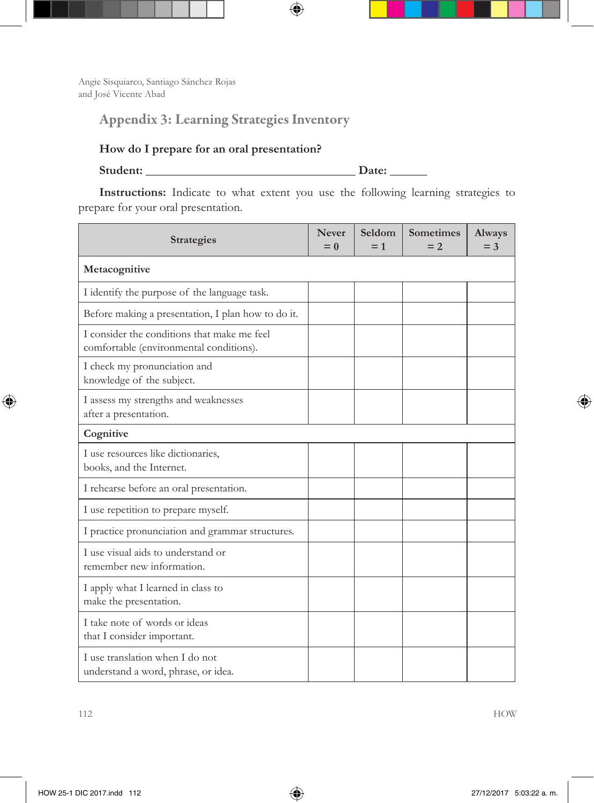# Appendix 3: Learning Strategies Inventory

#### **How do I prepare for an oral presentation?**

**Student:** \_\_\_\_\_\_\_\_\_\_\_\_\_\_\_\_\_\_\_\_\_\_\_\_\_\_\_\_\_\_\_\_\_\_ **Date:** \_\_\_\_\_\_

**Instructions:** Indicate to what extent you use the following learning strategies to prepare for your oral presentation.

| <b>Strategies</b>                                                                      | Never<br>$= 0$ | Seldom<br>$= 1$ | <b>Sometimes</b><br>$= 2$ | <b>Always</b><br>$=$ 3 |
|----------------------------------------------------------------------------------------|----------------|-----------------|---------------------------|------------------------|
| Metacognitive                                                                          |                |                 |                           |                        |
| I identify the purpose of the language task.                                           |                |                 |                           |                        |
| Before making a presentation, I plan how to do it.                                     |                |                 |                           |                        |
| I consider the conditions that make me feel<br>comfortable (environmental conditions). |                |                 |                           |                        |
| I check my pronunciation and<br>knowledge of the subject.                              |                |                 |                           |                        |
| I assess my strengths and weaknesses<br>after a presentation.                          |                |                 |                           |                        |
| Cognitive                                                                              |                |                 |                           |                        |
| I use resources like dictionaries,<br>books, and the Internet.                         |                |                 |                           |                        |
| I rehearse before an oral presentation.                                                |                |                 |                           |                        |
| I use repetition to prepare myself.                                                    |                |                 |                           |                        |
| I practice pronunciation and grammar structures.                                       |                |                 |                           |                        |
| I use visual aids to understand or<br>remember new information.                        |                |                 |                           |                        |
| I apply what I learned in class to<br>make the presentation.                           |                |                 |                           |                        |
| I take note of words or ideas<br>that I consider important.                            |                |                 |                           |                        |
| I use translation when I do not<br>understand a word, phrase, or idea.                 |                |                 |                           |                        |